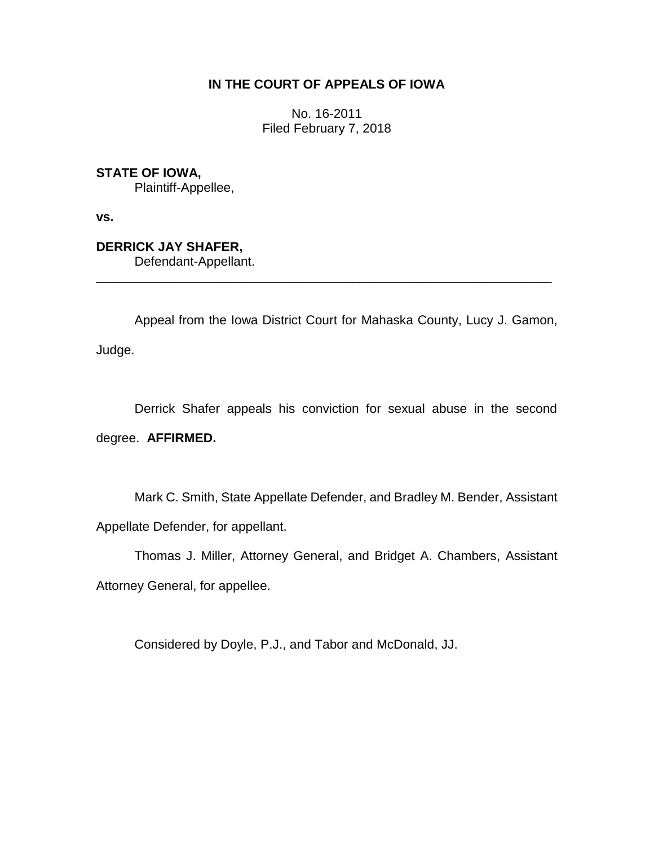## **IN THE COURT OF APPEALS OF IOWA**

No. 16-2011 Filed February 7, 2018

**STATE OF IOWA,**

Plaintiff-Appellee,

**vs.**

**DERRICK JAY SHAFER,** Defendant-Appellant.

Appeal from the Iowa District Court for Mahaska County, Lucy J. Gamon,

\_\_\_\_\_\_\_\_\_\_\_\_\_\_\_\_\_\_\_\_\_\_\_\_\_\_\_\_\_\_\_\_\_\_\_\_\_\_\_\_\_\_\_\_\_\_\_\_\_\_\_\_\_\_\_\_\_\_\_\_\_\_\_\_

Judge.

Derrick Shafer appeals his conviction for sexual abuse in the second degree. **AFFIRMED.**

Mark C. Smith, State Appellate Defender, and Bradley M. Bender, Assistant Appellate Defender, for appellant.

Thomas J. Miller, Attorney General, and Bridget A. Chambers, Assistant Attorney General, for appellee.

Considered by Doyle, P.J., and Tabor and McDonald, JJ.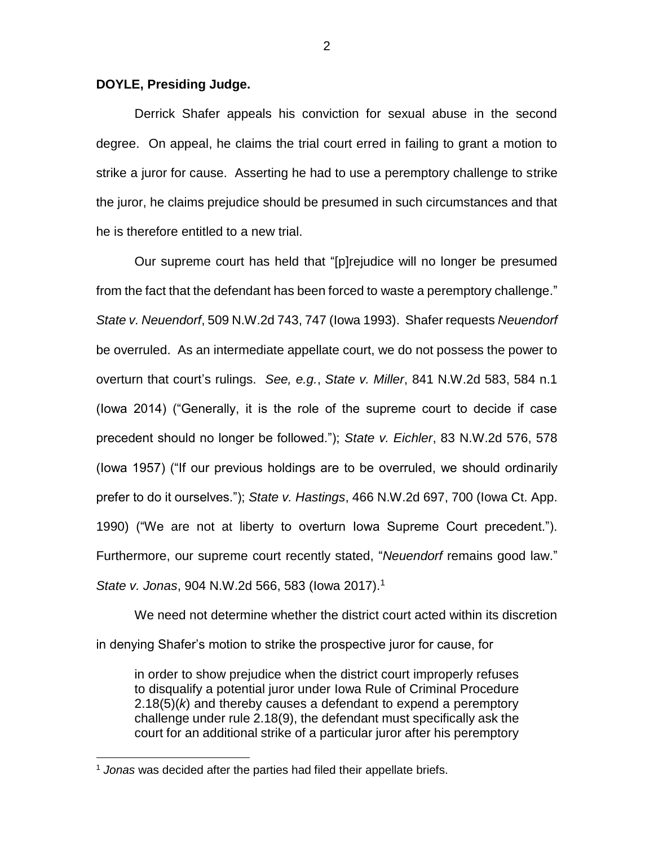## **DOYLE, Presiding Judge.**

Derrick Shafer appeals his conviction for sexual abuse in the second degree. On appeal, he claims the trial court erred in failing to grant a motion to strike a juror for cause. Asserting he had to use a peremptory challenge to strike the juror, he claims prejudice should be presumed in such circumstances and that he is therefore entitled to a new trial.

Our supreme court has held that "[p]rejudice will no longer be presumed from the fact that the defendant has been forced to waste a peremptory challenge." *State v. Neuendorf*, 509 N.W.2d 743, 747 (Iowa 1993). Shafer requests *Neuendorf*  be overruled. As an intermediate appellate court, we do not possess the power to overturn that court's rulings. *See, e.g.*, *State v. Miller*, 841 N.W.2d 583, 584 n.1 (Iowa 2014) ("Generally, it is the role of the supreme court to decide if case precedent should no longer be followed."); *State v. Eichler*, 83 N.W.2d 576, 578 (Iowa 1957) ("If our previous holdings are to be overruled, we should ordinarily prefer to do it ourselves."); *State v. Hastings*, 466 N.W.2d 697, 700 (Iowa Ct. App. 1990) ("We are not at liberty to overturn Iowa Supreme Court precedent."). Furthermore, our supreme court recently stated, "*Neuendorf* remains good law." *State v. Jonas*, 904 N.W.2d 566, 583 (Iowa 2017).<sup>1</sup>

We need not determine whether the district court acted within its discretion in denying Shafer's motion to strike the prospective juror for cause, for

in order to show prejudice when the district court improperly refuses to disqualify a potential juror under Iowa Rule of Criminal Procedure 2.18(5)(*k*) and thereby causes a defendant to expend a peremptory challenge under rule 2.18(9), the defendant must specifically ask the court for an additional strike of a particular juror after his peremptory

 $\overline{a}$ 

<sup>1</sup> *Jonas* was decided after the parties had filed their appellate briefs.